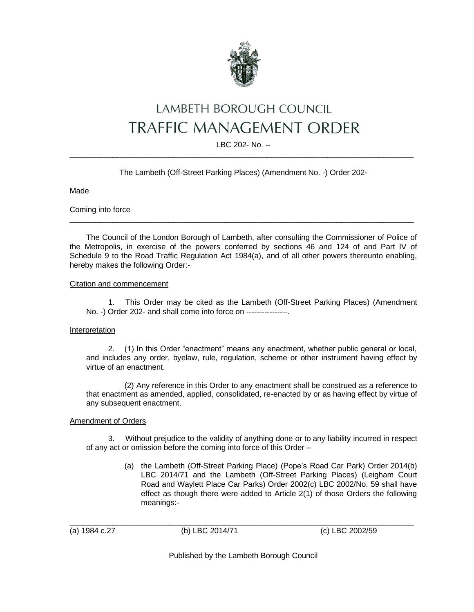

## LAMBETH BOROUGH COUNCIL **TRAFFIC MANAGEMENT ORDER**

LBC 202- No. --  $\_$  ,  $\_$  ,  $\_$  ,  $\_$  ,  $\_$  ,  $\_$  ,  $\_$  ,  $\_$  ,  $\_$  ,  $\_$  ,  $\_$  ,  $\_$  ,  $\_$  ,  $\_$  ,  $\_$  ,  $\_$  ,  $\_$  ,  $\_$  ,  $\_$  ,  $\_$  ,  $\_$  ,  $\_$  ,  $\_$  ,  $\_$  ,  $\_$  ,  $\_$  ,  $\_$  ,  $\_$  ,  $\_$  ,  $\_$  ,  $\_$  ,  $\_$  ,  $\_$  ,  $\_$  ,  $\_$  ,  $\_$  ,  $\_$  ,

The Lambeth (Off-Street Parking Places) (Amendment No. -) Order 202-

Made

Coming into force

The Council of the London Borough of Lambeth, after consulting the Commissioner of Police of the Metropolis, in exercise of the powers conferred by sections 46 and 124 of and Part IV of Schedule 9 to the Road Traffic Regulation Act 1984(a), and of all other powers thereunto enabling, hereby makes the following Order:-

 $\_$  ,  $\_$  ,  $\_$  ,  $\_$  ,  $\_$  ,  $\_$  ,  $\_$  ,  $\_$  ,  $\_$  ,  $\_$  ,  $\_$  ,  $\_$  ,  $\_$  ,  $\_$  ,  $\_$  ,  $\_$  ,  $\_$  ,  $\_$  ,  $\_$  ,  $\_$  ,  $\_$  ,  $\_$  ,  $\_$  ,  $\_$  ,  $\_$  ,  $\_$  ,  $\_$  ,  $\_$  ,  $\_$  ,  $\_$  ,  $\_$  ,  $\_$  ,  $\_$  ,  $\_$  ,  $\_$  ,  $\_$  ,  $\_$  ,

Citation and commencement

1. This Order may be cited as the Lambeth (Off-Street Parking Places) (Amendment No. -) Order 202- and shall come into force on ----------------.

## Interpretation

2. (1) In this Order "enactment" means any enactment, whether public general or local, and includes any order, byelaw, rule, regulation, scheme or other instrument having effect by virtue of an enactment.

(2) Any reference in this Order to any enactment shall be construed as a reference to that enactment as amended, applied, consolidated, re-enacted by or as having effect by virtue of any subsequent enactment.

## Amendment of Orders

3. Without prejudice to the validity of anything done or to any liability incurred in respect of any act or omission before the coming into force of this Order –

> (a) the Lambeth (Off-Street Parking Place) (Pope's Road Car Park) Order 2014(b) LBC 2014/71 and the Lambeth (Off-Street Parking Places) (Leigham Court Road and Waylett Place Car Parks) Order 2002(c) LBC 2002/No. 59 shall have effect as though there were added to Article 2(1) of those Orders the following meanings:-

\_\_\_\_\_\_\_\_\_\_\_\_\_\_\_\_\_\_\_\_\_\_\_\_\_\_\_\_\_\_\_\_\_\_\_\_\_\_\_\_\_\_\_\_\_\_\_\_\_\_\_\_\_\_\_\_\_\_\_\_\_\_\_\_\_\_\_\_\_\_\_\_\_\_\_\_\_\_\_\_ (a) 1984 c.27 (b) LBC 2014/71 (c) LBC 2002/59

Published by the Lambeth Borough Council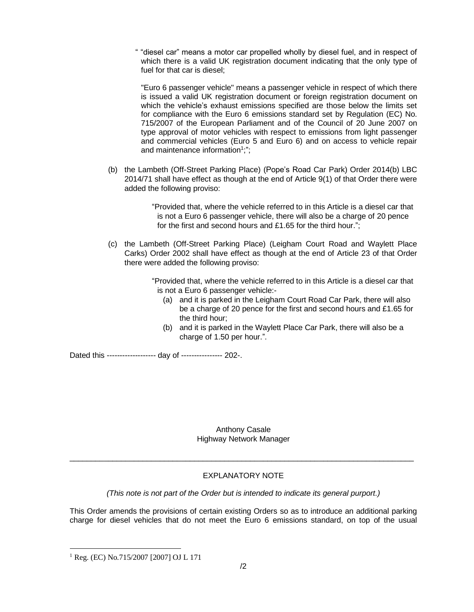" "diesel car" means a motor car propelled wholly by diesel fuel, and in respect of which there is a valid UK registration document indicating that the only type of fuel for that car is diesel;

"Euro 6 passenger vehicle" means a passenger vehicle in respect of which there is issued a valid UK registration document or foreign registration document on which the vehicle's exhaust emissions specified are those below the limits set for compliance with the Euro 6 emissions standard set by Regulation (EC) No. 715/2007 of the European Parliament and of the Council of 20 June 2007 on type approval of motor vehicles with respect to emissions from light passenger and commercial vehicles (Euro 5 and Euro 6) and on access to vehicle repair and maintenance information<sup>1</sup>;";

(b) the Lambeth (Off-Street Parking Place) (Pope's Road Car Park) Order 2014(b) LBC 2014/71 shall have effect as though at the end of Article 9(1) of that Order there were added the following proviso:

> "Provided that, where the vehicle referred to in this Article is a diesel car that is not a Euro 6 passenger vehicle, there will also be a charge of 20 pence for the first and second hours and £1.65 for the third hour.";

(c) the Lambeth (Off-Street Parking Place) (Leigham Court Road and Waylett Place Carks) Order 2002 shall have effect as though at the end of Article 23 of that Order there were added the following proviso:

> "Provided that, where the vehicle referred to in this Article is a diesel car that is not a Euro 6 passenger vehicle:-

- (a) and it is parked in the Leigham Court Road Car Park, there will also be a charge of 20 pence for the first and second hours and £1.65 for the third hour;
- (b) and it is parked in the Waylett Place Car Park, there will also be a charge of 1.50 per hour.".

Dated this ------------------- day of ---------------- 202-.

Anthony Casale Highway Network Manager

## EXPLANATORY NOTE

\_\_\_\_\_\_\_\_\_\_\_\_\_\_\_\_\_\_\_\_\_\_\_\_\_\_\_\_\_\_\_\_\_\_\_\_\_\_\_\_\_\_\_\_\_\_\_\_\_\_\_\_\_\_\_\_\_\_\_\_\_\_\_\_\_\_\_\_\_\_\_\_\_\_\_\_\_\_\_\_

*(This note is not part of the Order but is intended to indicate its general purport.)*

This Order amends the provisions of certain existing Orders so as to introduce an additional parking charge for diesel vehicles that do not meet the Euro 6 emissions standard, on top of the usual

<sup>1</sup> Reg. (EC) No.715/2007 [2007] OJ L 171